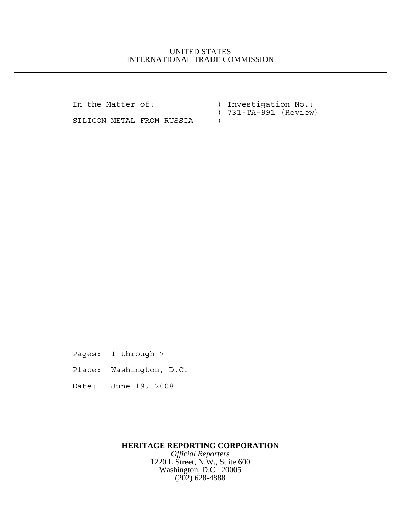## UNITED STATES INTERNATIONAL TRADE COMMISSION

In the Matter of: ) Investigation No.: ) 731-TA-991 (Review)

SILICON METAL FROM RUSSIA )

Pages: 1 through 7 Place: Washington, D.C. Date: June 19, 2008

## **HERITAGE REPORTING CORPORATION**

*Official Reporters* 1220 L Street, N.W., Suite 600 Washington, D.C. 20005 (202) 628-4888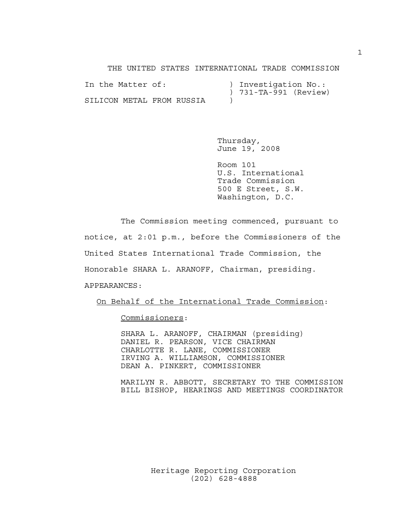THE UNITED STATES INTERNATIONAL TRADE COMMISSION

| In the Matter of:         |  |  | ) Investigation No.: |                       |  |
|---------------------------|--|--|----------------------|-----------------------|--|
|                           |  |  |                      | ) 731-TA-991 (Review) |  |
| SILICON METAL FROM RUSSIA |  |  |                      |                       |  |

Thursday, June 19, 2008

Room 101 U.S. International Trade Commission 500 E Street, S.W. Washington, D.C.

The Commission meeting commenced, pursuant to notice, at 2:01 p.m., before the Commissioners of the United States International Trade Commission, the Honorable SHARA L. ARANOFF, Chairman, presiding. APPEARANCES:

On Behalf of the International Trade Commission:

Commissioners:

SHARA L. ARANOFF, CHAIRMAN (presiding) DANIEL R. PEARSON, VICE CHAIRMAN CHARLOTTE R. LANE, COMMISSIONER IRVING A. WILLIAMSON, COMMISSIONER DEAN A. PINKERT, COMMISSIONER

MARILYN R. ABBOTT, SECRETARY TO THE COMMISSION BILL BISHOP, HEARINGS AND MEETINGS COORDINATOR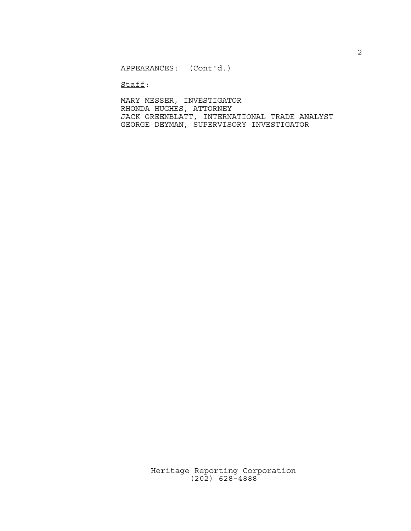APPEARANCES: (Cont'd.)

Staff:

MARY MESSER, INVESTIGATOR RHONDA HUGHES, ATTORNEY JACK GREENBLATT, INTERNATIONAL TRADE ANALYST GEORGE DEYMAN, SUPERVISORY INVESTIGATOR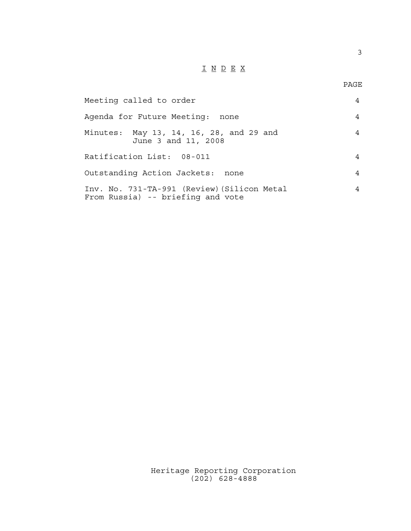## $\underline{\texttt{I}} \ \underline{\texttt{N}} \ \underline{\texttt{D}} \ \underline{\texttt{E}} \ \underline{\texttt{X}}$

3

| Meeting called to order                                                          | 4 |
|----------------------------------------------------------------------------------|---|
| Agenda for Future Meeting:<br>none                                               | 4 |
| Minutes: May 13, 14, 16, 28, and 29 and<br>June 3 and 11, 2008                   | 4 |
| Ratification List: 08-011                                                        | 4 |
| Outstanding Action Jackets: none                                                 | 4 |
| Inv. No. 731-TA-991 (Review) (Silicon Metal<br>From Russia) -- briefing and vote | 4 |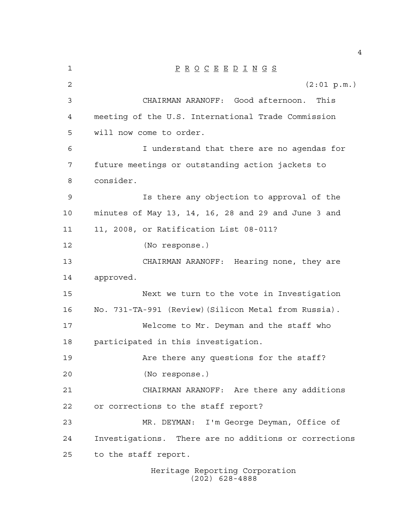| 1  | $\underline{P} \underline{R} \underline{O} \underline{C} \underline{E} \underline{E} \underline{D} \underline{I} \underline{N} \underline{G} \underline{S}$ |
|----|-------------------------------------------------------------------------------------------------------------------------------------------------------------|
| 2  | (2:01 p.m.)                                                                                                                                                 |
| 3  | CHAIRMAN ARANOFF: Good afternoon.<br>This                                                                                                                   |
| 4  | meeting of the U.S. International Trade Commission                                                                                                          |
| 5  | will now come to order.                                                                                                                                     |
| 6  | I understand that there are no agendas for                                                                                                                  |
| 7  | future meetings or outstanding action jackets to                                                                                                            |
| 8  | consider.                                                                                                                                                   |
| 9  | Is there any objection to approval of the                                                                                                                   |
| 10 | minutes of May 13, 14, 16, 28 and 29 and June 3 and                                                                                                         |
| 11 | 11, 2008, or Ratification List 08-011?                                                                                                                      |
| 12 | (No response.)                                                                                                                                              |
| 13 | CHAIRMAN ARANOFF: Hearing none, they are                                                                                                                    |
| 14 | approved.                                                                                                                                                   |
| 15 | Next we turn to the vote in Investigation                                                                                                                   |
| 16 | No. 731-TA-991 (Review) (Silicon Metal from Russia).                                                                                                        |
| 17 | Welcome to Mr. Deyman and the staff who                                                                                                                     |
| 18 | participated in this investigation.                                                                                                                         |
| 19 | Are there any questions for the staff?                                                                                                                      |
| 20 | (No response.)                                                                                                                                              |
| 21 | CHAIRMAN ARANOFF: Are there any additions                                                                                                                   |
| 22 | or corrections to the staff report?                                                                                                                         |
| 23 | MR. DEYMAN: I'm George Deyman, Office of                                                                                                                    |
| 24 | Investigations. There are no additions or corrections                                                                                                       |
| 25 | to the staff report.                                                                                                                                        |
|    | Heritage Reporting Corporation                                                                                                                              |

(202) 628-4888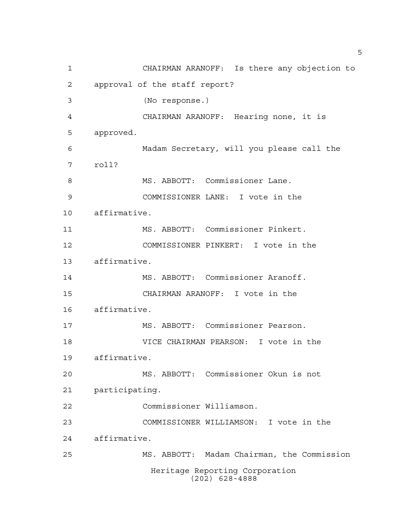CHAIRMAN ARANOFF: Is there any objection to approval of the staff report? (No response.) CHAIRMAN ARANOFF: Hearing none, it is approved. Madam Secretary, will you please call the roll? 8 MS. ABBOTT: Commissioner Lane. COMMISSIONER LANE: I vote in the affirmative. MS. ABBOTT: Commissioner Pinkert. COMMISSIONER PINKERT: I vote in the affirmative. MS. ABBOTT: Commissioner Aranoff. CHAIRMAN ARANOFF: I vote in the affirmative. MS. ABBOTT: Commissioner Pearson. VICE CHAIRMAN PEARSON: I vote in the affirmative. MS. ABBOTT: Commissioner Okun is not participating. Commissioner Williamson. COMMISSIONER WILLIAMSON: I vote in the affirmative. MS. ABBOTT: Madam Chairman, the Commission Heritage Reporting Corporation (202) 628-4888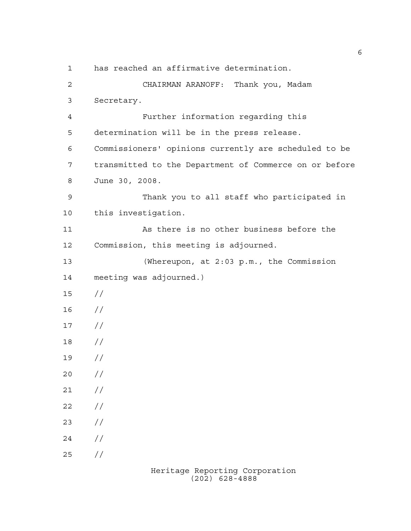has reached an affirmative determination. CHAIRMAN ARANOFF: Thank you, Madam Secretary. Further information regarding this determination will be in the press release. Commissioners' opinions currently are scheduled to be transmitted to the Department of Commerce on or before June 30, 2008. Thank you to all staff who participated in this investigation. As there is no other business before the Commission, this meeting is adjourned. (Whereupon, at 2:03 p.m., the Commission meeting was adjourned.) // //  $17 /$  // //  $20 /$  $21 /$  $22 / /$  $23 / /$  $24 /$  $25 / /$